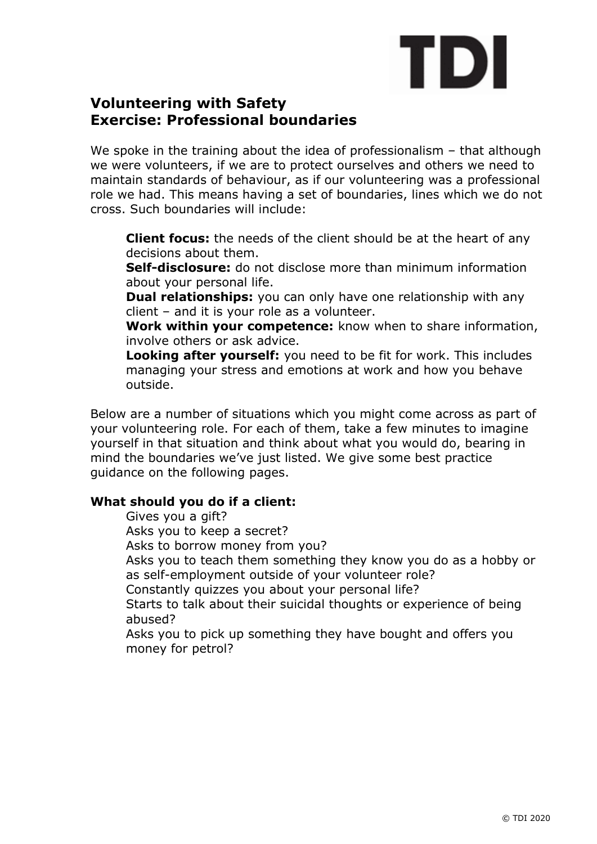# TDI

# **Volunteering with Safety Exercise: Professional boundaries**

We spoke in the training about the idea of professionalism - that although we were volunteers, if we are to protect ourselves and others we need to maintain standards of behaviour, as if our volunteering was a professional role we had. This means having a set of boundaries, lines which we do not cross. Such boundaries will include:

**Client focus:** the needs of the client should be at the heart of any decisions about them.

**Self-disclosure:** do not disclose more than minimum information about your personal life.

**Dual relationships:** you can only have one relationship with any client – and it is your role as a volunteer.

**Work within your competence:** know when to share information, involve others or ask advice.

**Looking after yourself:** you need to be fit for work. This includes managing your stress and emotions at work and how you behave outside.

Below are a number of situations which you might come across as part of your volunteering role. For each of them, take a few minutes to imagine yourself in that situation and think about what you would do, bearing in mind the boundaries we've just listed. We give some best practice guidance on the following pages.

# **What should you do if a client:**

Gives you a gift? Asks you to keep a secret? Asks to borrow money from you? Asks you to teach them something they know you do as a hobby or as self-employment outside of your volunteer role? Constantly quizzes you about your personal life? Starts to talk about their suicidal thoughts or experience of being abused? Asks you to pick up something they have bought and offers you money for petrol?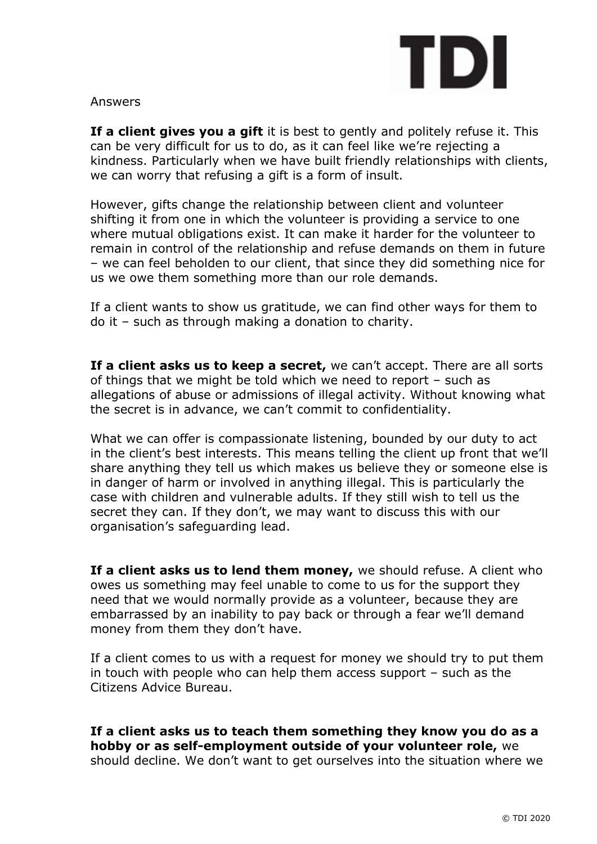

#### Answers

**If a client gives you a gift** it is best to gently and politely refuse it. This can be very difficult for us to do, as it can feel like we're rejecting a kindness. Particularly when we have built friendly relationships with clients, we can worry that refusing a gift is a form of insult.

However, gifts change the relationship between client and volunteer shifting it from one in which the volunteer is providing a service to one where mutual obligations exist. It can make it harder for the volunteer to remain in control of the relationship and refuse demands on them in future – we can feel beholden to our client, that since they did something nice for us we owe them something more than our role demands.

If a client wants to show us gratitude, we can find other ways for them to do it – such as through making a donation to charity.

**If a client asks us to keep a secret,** we can't accept. There are all sorts of things that we might be told which we need to report – such as allegations of abuse or admissions of illegal activity. Without knowing what the secret is in advance, we can't commit to confidentiality.

What we can offer is compassionate listening, bounded by our duty to act in the client's best interests. This means telling the client up front that we'll share anything they tell us which makes us believe they or someone else is in danger of harm or involved in anything illegal. This is particularly the case with children and vulnerable adults. If they still wish to tell us the secret they can. If they don't, we may want to discuss this with our organisation's safeguarding lead.

**If a client asks us to lend them money,** we should refuse. A client who owes us something may feel unable to come to us for the support they need that we would normally provide as a volunteer, because they are embarrassed by an inability to pay back or through a fear we'll demand money from them they don't have.

If a client comes to us with a request for money we should try to put them in touch with people who can help them access support – such as the Citizens Advice Bureau.

**If a client asks us to teach them something they know you do as a hobby or as self-employment outside of your volunteer role,** we should decline. We don't want to get ourselves into the situation where we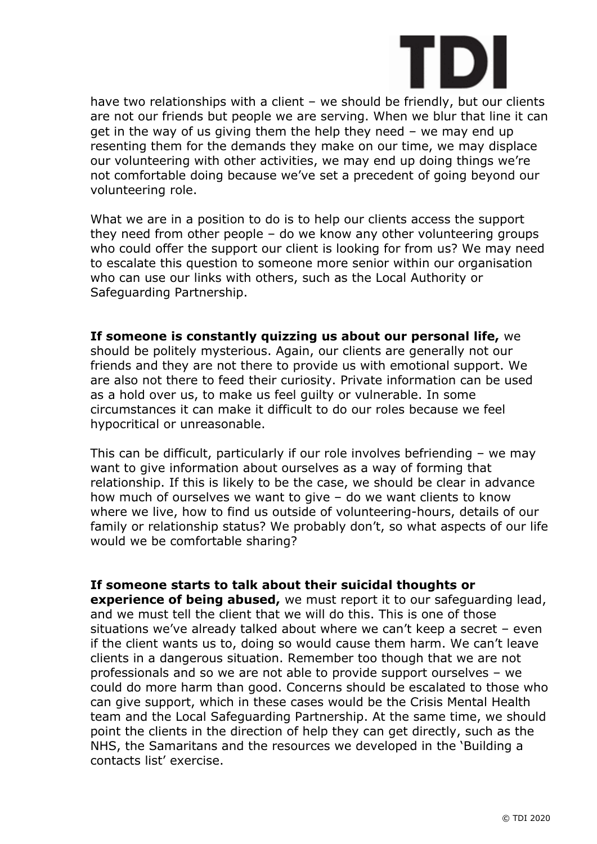

have two relationships with a client - we should be friendly, but our clients are not our friends but people we are serving. When we blur that line it can get in the way of us giving them the help they need – we may end up resenting them for the demands they make on our time, we may displace our volunteering with other activities, we may end up doing things we're not comfortable doing because we've set a precedent of going beyond our volunteering role.

What we are in a position to do is to help our clients access the support they need from other people – do we know any other volunteering groups who could offer the support our client is looking for from us? We may need to escalate this question to someone more senior within our organisation who can use our links with others, such as the Local Authority or Safeguarding Partnership.

### **If someone is constantly quizzing us about our personal life,** we

should be politely mysterious. Again, our clients are generally not our friends and they are not there to provide us with emotional support. We are also not there to feed their curiosity. Private information can be used as a hold over us, to make us feel guilty or vulnerable. In some circumstances it can make it difficult to do our roles because we feel hypocritical or unreasonable.

This can be difficult, particularly if our role involves befriending – we may want to give information about ourselves as a way of forming that relationship. If this is likely to be the case, we should be clear in advance how much of ourselves we want to give – do we want clients to know where we live, how to find us outside of volunteering-hours, details of our family or relationship status? We probably don't, so what aspects of our life would we be comfortable sharing?

#### **If someone starts to talk about their suicidal thoughts or**

**experience of being abused,** we must report it to our safequarding lead, and we must tell the client that we will do this. This is one of those situations we've already talked about where we can't keep a secret – even if the client wants us to, doing so would cause them harm. We can't leave clients in a dangerous situation. Remember too though that we are not professionals and so we are not able to provide support ourselves – we could do more harm than good. Concerns should be escalated to those who can give support, which in these cases would be the Crisis Mental Health team and the Local Safeguarding Partnership. At the same time, we should point the clients in the direction of help they can get directly, such as the NHS, the Samaritans and the resources we developed in the 'Building a contacts list' exercise.